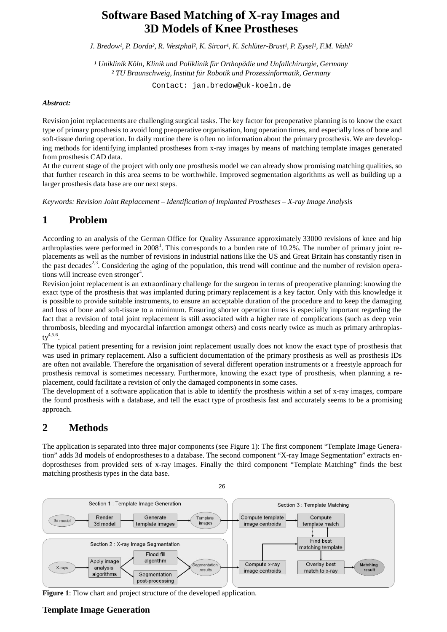# **Software Based Matching of X-ray Images and 3D Models of Knee Prostheses**

*J. Bredow¹, P. Dorda², R. Westphal², K. Sircar¹, K. Schlüter-Brust¹, P. Eysel¹, F.M. Wahl²*

*¹ Uniklinik Köln, Klinik und Poliklinik für Orthopädie und Unfallchirurgie, Germany ² TU Braunschweig, Institut für Robotik und Prozessinformatik, Germany*

Contact: [jan.bredow@uk-koeln.de](mailto:jan.bredow@uk-koeln.de)

#### *Abstract:*

Revision joint replacements are challenging surgical tasks. The key factor for preoperative planning is to know the exact type of primary prosthesis to avoid long preoperative organisation, long operation times, and especially loss of bone and soft-tissue during operation. In daily routine there is often no information about the primary prosthesis. We are developing methods for identifying implanted prostheses from x-ray images by means of matching template images generated from prosthesis CAD data.

At the current stage of the project with only one prosthesis model we can already show promising matching qualities, so that further research in this area seems to be worthwhile. Improved segmentation algorithms as well as building up a larger prosthesis data base are our next steps.

*Keywords: Revision Joint Replacement – Identification of Implanted Prostheses – X-ray Image Analysis*

# **1 Problem**

According to an analysis of the German Office for Quality Assurance approximately 33000 revisions of knee and hip arthroplasties were performed in 2008<sup>1</sup>. This corresponds to a burden rate of 10.2%. The number of primary joint replacements as well as the number of revisions in industrial nations like the US and Great Britain has constantly risen in the past decades<sup>2,3</sup>. Considering the aging of the population, this trend will continue and the number of revision operations will increase even stronger<sup>4</sup>.

Revision joint replacement is an extraordinary challenge for the surgeon in terms of preoperative planning: knowing the exact type of the prosthesis that was implanted during primary replacement is a key factor. Only with this knowledge it is possible to provide suitable instruments, to ensure an acceptable duration of the procedure and to keep the damaging and loss of bone and soft-tissue to a minimum. Ensuring shorter operation times is especially important regarding the fact that a revision of total joint replacement is still associated with a higher rate of complications (such as deep vein thrombosis, bleeding and myocardial infarction amongst others) and costs nearly twice as much as primary arthroplas $ty^{4,5,6}.$ 

The typical patient presenting for a revision joint replacement usually does not know the exact type of prosthesis that was used in primary replacement. Also a sufficient documentation of the primary prosthesis as well as prosthesis IDs are often not available. Therefore the organisation of several different operation instruments or a freestyle approach for prosthesis removal is sometimes necessary. Furthermore, knowing the exact type of prosthesis, when planning a replacement, could facilitate a revision of only the damaged components in some cases.

The development of a software application that is able to identify the prosthesis within a set of x-ray images, compare the found prosthesis with a database, and tell the exact type of prosthesis fast and accurately seems to be a promising approach.

# **2 Methods**

The application is separated into three major components (see Figure 1): The first component "Template Image Generation" adds 3d models of endoprostheses to a database. The second component "X-ray Image Segmentation" extracts endoprostheses from provided sets of x-ray images. Finally the third component "Template Matching" finds the best matching prosthesis types in the data base.



**Figure 1**: Flow chart and project structure of the developed application.

### **Template Image Generation**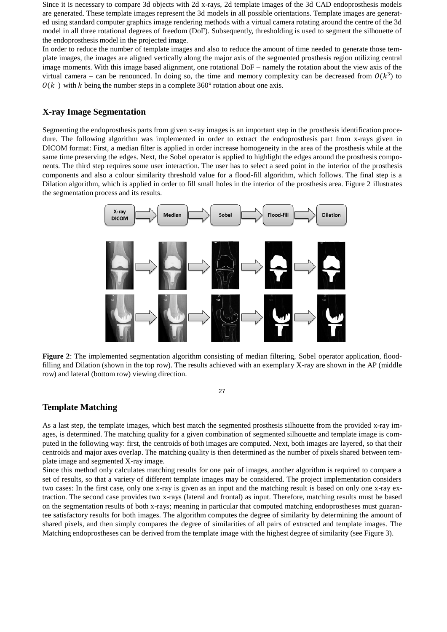Since it is necessary to compare 3d objects with 2d x-rays, 2d template images of the 3d CAD endoprosthesis models are generated. These template images represent the 3d models in all possible orientations. Template images are generated using standard computer graphics image rendering methods with a virtual camera rotating around the centre of the 3d model in all three rotational degrees of freedom (DoF). Subsequently, thresholding is used to segment the silhouette of the endoprosthesis model in the projected image.

In order to reduce the number of template images and also to reduce the amount of time needed to generate those template images, the images are aligned vertically along the major axis of the segmented prosthesis region utilizing central image moments. With this image based alignment, one rotational DoF – namely the rotation about the view axis of the virtual camera – can be renounced. In doing so, the time and memory complexity can be decreased from  $O(k^3)$  to  $O(k)$  with k being the number steps in a complete 360° rotation about one axis.

#### **X-ray Image Segmentation**

Segmenting the endoprosthesis parts from given x-ray images is an important step in the prosthesis identification procedure. The following algorithm was implemented in order to extract the endoprosthesis part from x-rays given in DICOM format: First, a median filter is applied in order increase homogeneity in the area of the prosthesis while at the same time preserving the edges. Next, the Sobel operator is applied to highlight the edges around the prosthesis components. The third step requires some user interaction. The user has to select a seed point in the interior of the prosthesis components and also a colour similarity threshold value for a flood-fill algorithm, which follows. The final step is a Dilation algorithm, which is applied in order to fill small holes in the interior of the prosthesis area. Figure 2 illustrates the segmentation process and its results.



**Figure 2**: The implemented segmentation algorithm consisting of median filtering, Sobel operator application, floodfilling and Dilation (shown in the top row). The results achieved with an exemplary X-ray are shown in the AP (middle row) and lateral (bottom row) viewing direction.

27

#### **Template Matching**

As a last step, the template images, which best match the segmented prosthesis silhouette from the provided x-ray images, is determined. The matching quality for a given combination of segmented silhouette and template image is computed in the following way: first, the centroids of both images are computed. Next, both images are layered, so that their centroids and major axes overlap. The matching quality is then determined as the number of pixels shared between template image and segmented X-ray image.

Since this method only calculates matching results for one pair of images, another algorithm is required to compare a set of results, so that a variety of different template images may be considered. The project implementation considers two cases: In the first case, only one x-ray is given as an input and the matching result is based on only one x-ray extraction. The second case provides two x-rays (lateral and frontal) as input. Therefore, matching results must be based on the segmentation results of both x-rays; meaning in particular that computed matching endoprostheses must guarantee satisfactory results for both images. The algorithm computes the degree of similarity by determining the amount of shared pixels, and then simply compares the degree of similarities of all pairs of extracted and template images. The Matching endoprostheses can be derived from the template image with the highest degree of similarity (see Figure 3).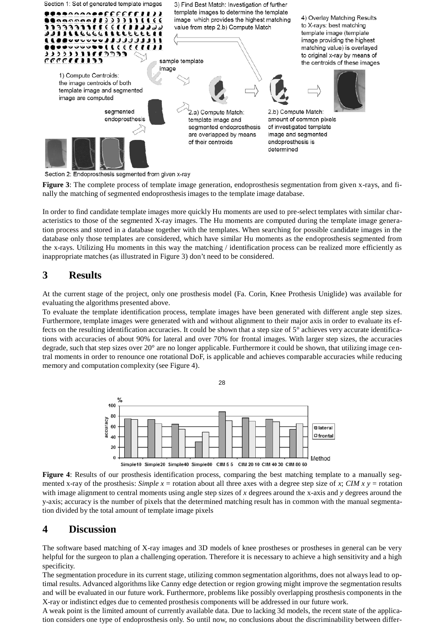

Section 2: Endoprosthesis segmented from given x-ray

**Figure 3**: The complete process of template image generation, endoprosthesis segmentation from given x-rays, and finally the matching of segmented endoprosthesisimages to the template image database.

In order to find candidate template images more quickly Hu moments are used to pre-select templates with similar characteristics to those of the segmented X-ray images. The Hu moments are computed during the template image generation process and stored in a database together with the templates. When searching for possible candidate images in the database only those templates are considered, which have similar Hu moments as the endoprosthesis segmented from the x-rays. Utilizing Hu moments in this way the matching / identification process can be realized more efficiently as inappropriate matches (as illustrated in Figure 3) don't need to be considered.

# **3 Results**

At the current stage of the project, only one prosthesis model (Fa. Corin, Knee Prothesis Uniglide) was available for evaluating the algorithms presented above.

To evaluate the template identification process, template images have been generated with different angle step sizes. Furthermore, template images were generated with and without alignment to their major axis in order to evaluate its effects on the resulting identification accuracies. It could be shown that a step size of 5° achieves very accurate identifications with accuracies of about 90% for lateral and over 70% for frontal images. With larger step sizes, the accuracies degrade, such that step sizes over 20° are no longer applicable. Furthermore it could be shown, that utilizing image central moments in order to renounce one rotational DoF, is applicable and achieves comparable accuracies while reducing memory and computation complexity (see Figure 4).



**Figure 4**: Results of our prosthesis identification process, comparing the best matching template to a manually segmented x-ray of the prosthesis: *Simple*  $x =$  rotation about all three axes with a degree step size of  $x$ ; *CIM*  $x =$  rotation with image alignment to central moments using angle step sizes of *x* degrees around the x-axis and *y* degrees around the y-axis; accuracy is the number of pixels that the determined matching result has in common with the manual segmentation divided by the total amount of template image pixels

### **4 Discussion**

The software based matching of X-ray images and 3D models of knee prostheses or prostheses in general can be very helpful for the surgeon to plan a challenging operation. Therefore it is necessary to achieve a high sensitivity and a high specificity.

The segmentation procedure in its current stage, utilizing common segmentation algorithms, does not always lead to optimal results. Advanced algorithms like Canny edge detection or region growing might improve the segmentation results and will be evaluated in our future work. Furthermore, problems like possibly overlapping prosthesis components in the X-ray or indistinct edges due to cemented prosthesis components will be addressed in our future work.

A weak point is the limited amount of currently available data. Due to lacking 3d models, the recent state of the application considers one type of endoprosthesis only. So until now, no conclusions about the discriminability between differ